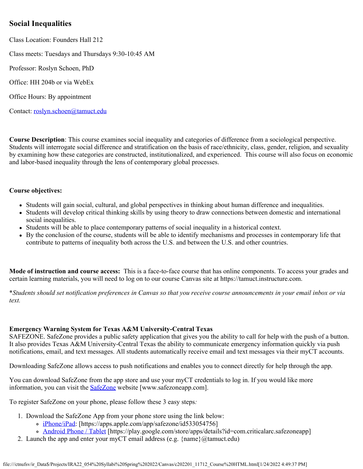# **Social Inequalities**

Class Location: Founders Hall 212 Class meets: Tuesdays and Thursdays 9:30-10:45 AM Professor: Roslyn Schoen, PhD Office: HH 204b or via WebEx Office Hours: By appointment Contact: [roslyn.schoen@tamuct.edu](mailto:roslyn.schoen@tamuct.edu)

**Course Description**: This course examines social inequality and categories of difference from a sociological perspective. Students will interrogate social difference and stratification on the basis of race/ethnicity, class, gender, religion, and sexuality by examining how these categories are constructed, institutionalized, and experienced. This course will also focus on economic and labor-based inequality through the lens of contemporary global processes.

### **Course objectives:**

- Students will gain social, cultural, and global perspectives in thinking about human difference and inequalities.
- Students will develop critical thinking skills by using theory to draw connections between domestic and international social inequalities.
- Students will be able to place contemporary patterns of social inequality in a historical context.
- By the conclusion of the course, students will be able to identify mechanisms and processes in contemporary life that contribute to patterns of inequality both across the U.S. and between the U.S. and other countries.

**Mode of instruction and course access:** This is a face-to-face course that has online components. To access your grades and certain learning materials, you will need to log on to our course Canvas site at https://tamuct.instructure.com.

\**Students should set notification preferences in Canvas so that you receive course announcements in your email inbox or via text.*

### **Emergency Warning System for Texas A&M University-Central Texas**

SAFEZONE. SafeZone provides a public safety application that gives you the ability to call for help with the push of a button. It also provides Texas A&M University-Central Texas the ability to communicate emergency information quickly via push notifications, email, and text messages. All students automatically receive email and text messages via their myCT accounts.

Downloading SafeZone allows access to push notifications and enables you to connect directly for help through the app.

You can download SafeZone from the app store and use your myCT credentials to log in. If you would like more information, you can visit the **SafeZone** website [www.safezoneapp.com].

To register SafeZone on your phone, please follow these 3 easy steps*:*

- 1. Download the SafeZone App from your phone store using the link below:
	- o [iPhone/iPad](https://apps.apple.com/app/safezone/id533054756): [https://apps.apple.com/app/safezone/id533054756]
	- [Android Phone / Tablet](https://play.google.com/store/apps/details?id=com.criticalarc.safezoneapp) [https://play.google.com/store/apps/details?id=com.criticalarc.safezoneapp]
- 2. Launch the app and enter your myCT email address (e.g.  $\{name\}$ @tamuct.edu)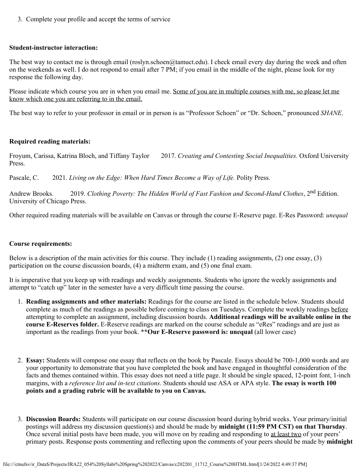3. Complete your profile and accept the terms of service

#### **Student-instructor interaction:**

The best way to contact me is through email (roslyn.schoen@tamuct.edu). I check email every day during the week and often on the weekends as well. I do not respond to email after 7 PM; if you email in the middle of the night, please look for my response the following day.

Please indicate which course you are in when you email me. Some of you are in multiple courses with me, so please let me know which one you are referring to in the email.

The best way to refer to your professor in email or in person is as "Professor Schoen" or "Dr. Schoen," pronounced *SHANE*.

### **Required reading materials:**

Froyum, Carissa, Katrina Bloch, and Tiffany Taylor 2017. *Creating and Contesting Social Inequalities.* Oxford University Press.

Pascale, C. 2021. *Living on the Edge: When Hard Times Become a Way of Life.* Polity Press.

Andrew Brooks. 2019. *Clothing Poverty: The Hidden World of Fast Fashion and Second-Hand Clothes*, 2<sup>nd</sup> Edition. University of Chicago Press.

Other required reading materials will be available on Canvas or through the course E-Reserve page. E-Res Password: *unequal*

### **Course requirements:**

Below is a description of the main activities for this course. They include (1) reading assignments, (2) one essay, (3) participation on the course discussion boards, (4) a midterm exam, and (5) one final exam.

It is imperative that you keep up with readings and weekly assignments. Students who ignore the weekly assignments and attempt to "catch up" later in the semester have a very difficult time passing the course.

- 1. **Reading assignments and other materials:** Readings for the course are listed in the schedule below. Students should complete as much of the readings as possible before coming to class on Tuesdays. Complete the weekly readings before attempting to complete an assignment, including discussion boards. **Additional readings will be available online in the course E-Reserves folder.** E-Reserve readings are marked on the course schedule as "eRes" readings and are just as important as the readings from your book. **\*\*Our E-Reserve password is: unequal** (all lower case)
- 2. **Essay:** Students will compose one essay that reflects on the book by Pascale. Essays should be 700-1,000 words and are your opportunity to demonstrate that you have completed the book and have engaged in thoughtful consideration of the facts and themes contained within. This essay does not need a title page. It should be single spaced, 12-point font, 1-inch margins, with a *reference list and in-text citations*. Students should use ASA or APA style. **The essay is worth 100 points and a grading rubric will be available to you on Canvas.**
- 3. **Discussion Boards:** Students will participate on our course discussion board during hybrid weeks. Your primary/initial postings will address my discussion question(s) and should be made by **midnight (11:59 PM CST) on that Thursday**. Once several initial posts have been made, you will move on by reading and responding to at least two of your peers' primary posts. Response posts commenting and reflecting upon the comments of your peers should be made by **midnight**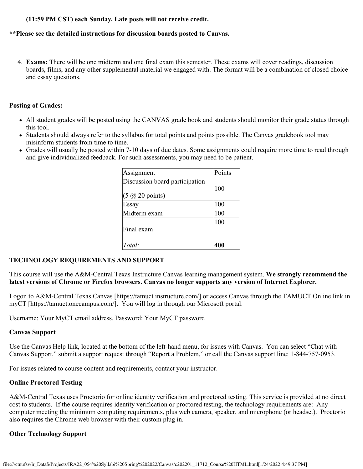### **(11:59 PM CST) each Sunday. Late posts will not receive credit.**

#### **\*\*Please see the detailed instructions for discussion boards posted to Canvas.**

4. **Exams:** There will be one midterm and one final exam this semester. These exams will cover readings, discussion boards, films, and any other supplemental material we engaged with. The format will be a combination of closed choice and essay questions.

#### **Posting of Grades:**

- All student grades will be posted using the CANVAS grade book and students should monitor their grade status through this tool.
- Students should always refer to the syllabus for total points and points possible. The Canvas gradebook tool may misinform students from time to time.
- Grades will usually be posted within 7-10 days of due dates. Some assignments could require more time to read through and give individualized feedback. For such assessments, you may need to be patient.

| Assignment                     | Points |
|--------------------------------|--------|
| Discussion board participation |        |
| $(5 \omega 20 \text{ points})$ | 100    |
| Essay                          | 100    |
| Midterm exam                   | 100    |
| Final exam                     | 100    |
| Total:                         | 400    |

#### **TECHNOLOGY REQUIREMENTS AND SUPPORT**

This course will use the A&M-Central Texas Instructure Canvas learning management system. **We strongly recommend the latest versions of Chrome or Firefox browsers. Canvas no longer supports any version of Internet Explorer.**

Logon to A&M-Central Texas Canvas [https://tamuct.instructure.com/] or access Canvas through the TAMUCT Online link in myCT [https://tamuct.onecampus.com/]. You will log in through our Microsoft portal.

Username: Your MyCT email address. Password: Your MyCT password

#### **Canvas Support**

Use the Canvas Help link, located at the bottom of the left-hand menu, for issues with Canvas. You can select "Chat with Canvas Support," submit a support request through "Report a Problem," or call the Canvas support line: 1-844-757-0953.

For issues related to course content and requirements, contact your instructor.

#### **Online Proctored Testing**

A&M-Central Texas uses Proctorio for online identity verification and proctored testing. This service is provided at no direct cost to students. If the course requires identity verification or proctored testing, the technology requirements are: Any computer meeting the minimum computing requirements, plus web camera, speaker, and microphone (or headset). Proctorio also requires the Chrome web browser with their custom plug in.

#### **Other Technology Support**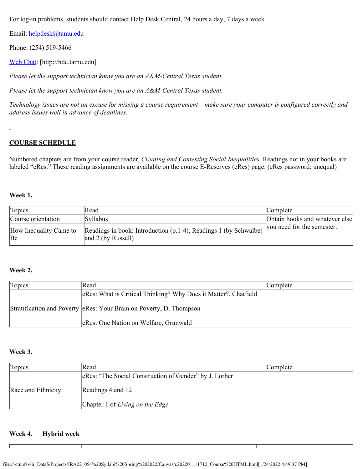For log-in problems, students should contact Help Desk Central, 24 hours a day, 7 days a week

Email: [helpdesk@tamu.edu](mailto:helpdesk@tamu.edu)

Phone: (254) 519-5466

[Web Chat](http://hdc.tamu.edu/): [http://hdc.tamu.edu]

*Please let the support technician know you are an A&M-Central Texas student.*

*Please let the support technician know you are an A&M-Central Texas student.*

*Technology issues are not an excuse for missing a course requirement – make sure your computer is configured correctly and address issues well in advance of deadlines.*

### **COURSE SCHEDULE**

Numbered chapters are from your course reader, *Creating and Contesting Social Inequalities*. Readings not in your books are labeled "eRes." These reading assignments are available on the course E-Reserves (eRes) page. (eRes password: unequal)

### **Week 1.**

| Topics                        | Read                                                                                       | Complete                       |
|-------------------------------|--------------------------------------------------------------------------------------------|--------------------------------|
| Course orientation            | <b>Syllabus</b>                                                                            | Obtain books and whatever else |
| How Inequality Came to<br> Be | Readings in book: Introduction (p.1-4), Readings 1 (by Schwalbe)<br>$ $ and 2 (by Russell) | vou need for the semester.     |

### **Week 2.**

| Topics | Read                                                                | Complete |
|--------|---------------------------------------------------------------------|----------|
|        | eRes: What is Critical Thinking? Why Does it Matter?, Chatfield     |          |
|        | Stratification and Poverty eRes: Your Brain on Poverty, D. Thompson |          |
|        | eRes: One Nation on Welfare, Grunwald                               |          |

#### **Week 3.**

| Topics             | Read                                                   | Complete |
|--------------------|--------------------------------------------------------|----------|
|                    | eRes: "The Social Construction of Gender" by J. Lorber |          |
| Race and Ethnicity | Readings 4 and 12                                      |          |
|                    | Chapter 1 of Living on the Edge                        |          |

#### **Week 4. Hybrid week**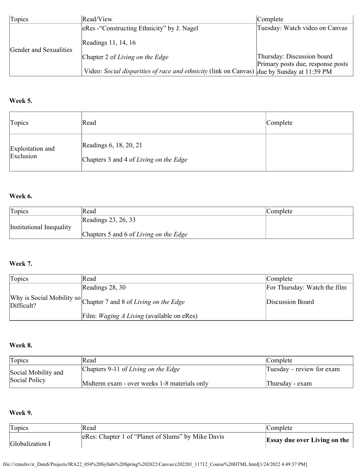| Topics                 | Read/View                                                                                  | Complete                                                        |
|------------------------|--------------------------------------------------------------------------------------------|-----------------------------------------------------------------|
|                        | eRes - "Constructing Ethnicity" by J. Nagel                                                | Tuesday: Watch video on Canvas                                  |
|                        | Readings 11, 14, 16                                                                        |                                                                 |
| Gender and Sexualities | Chapter 2 of Living on the Edge                                                            | Thursday: Discussion board<br>Primary posts due, response posts |
|                        | Video: Social disparities of race and ethnicity (link on Canvas) due by Sunday at 11:59 PM |                                                                 |

## **Week 5.**

| Topics                        | Read                                                             | Complete |
|-------------------------------|------------------------------------------------------------------|----------|
| Exploitation and<br>Exclusion | Readings 6, 18, 20, 21<br>Chapters 3 and 4 of Living on the Edge |          |

# **Week 6.**

| Topics                   | Read                                   | Complete |
|--------------------------|----------------------------------------|----------|
| Institutional Inequality | Readings 23, 26, 33                    |          |
|                          | Chapters 5 and 6 of Living on the Edge |          |

## **Week 7.**

| Topics     | Read                                                            | Complete                     |
|------------|-----------------------------------------------------------------|------------------------------|
|            | Readings $28, 30$                                               | For Thursday: Watch the film |
| Difficult? | Why is Social Mobility so Chapter 7 and 8 of Living on the Edge | Discussion Board             |
|            | Film: <i>Waging A Living</i> (available on eRes)                |                              |

### **Week 8.**

| Topics              | Read                                         | Complete                  |
|---------------------|----------------------------------------------|---------------------------|
| Social Mobility and | Chapters 9-11 of Living on the Edge          | Tuesday – review for exam |
| Social Policy       | Midterm exam - over weeks 1-8 materials only | Thursday - exam           |

# **Week 9.**

| Topics          | Read                                               | <b>Complete</b>                     |
|-----------------|----------------------------------------------------|-------------------------------------|
| Globalization I | eRes: Chapter 1 of "Planet of Slums" by Mike Davis | <b>Essay due over Living on the</b> |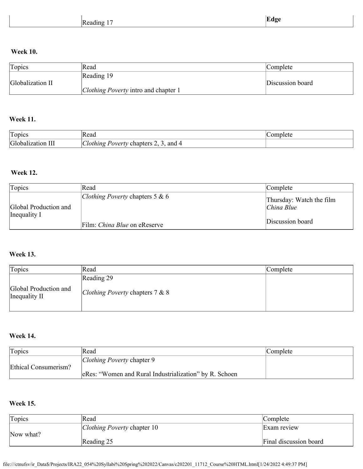| --<br>в.<br>- |  |
|---------------|--|
|---------------|--|

## **Week 10.**

| Topics           | Read                                                      | Complete         |
|------------------|-----------------------------------------------------------|------------------|
| Globalization II | Reading 19<br><i>Clothing Poverty</i> intro and chapter 1 | Discussion board |

### **Week 11.**

| $\mathbf{r}$<br>1 opics                               | Read                                                   | $\sim$ $\sim$ $\sim$ |
|-------------------------------------------------------|--------------------------------------------------------|----------------------|
| lGlob<br><b>Contract Contract Only</b><br>10r<br>ワロキュ | $\sim$<br>and<br>ahantara :<br>n<br>lothino<br>uddie." |                      |

### **Week 12.**

| Topics                                | Read                                                                            | Complete                                                    |
|---------------------------------------|---------------------------------------------------------------------------------|-------------------------------------------------------------|
| Global Production and<br>Inequality I | <i>Clothing Poverty chapters</i> $5 & 6$<br>Film: <i>China Blue</i> on eReserve | Thursday: Watch the film<br> China Blue<br>Discussion board |

## **Week 13.**

| Topics                                 | Read                                     | Complete |
|----------------------------------------|------------------------------------------|----------|
|                                        | Reading 29                               |          |
| Global Production and<br>Inequality II | <i>Clothing Poverty chapters</i> $7 & 8$ |          |
|                                        |                                          |          |

## **Week 14.**

| Topics               | Read                                                   | <i>Complete</i> |
|----------------------|--------------------------------------------------------|-----------------|
| Ethical Consumerism? | <i>Clothing Poverty chapter 9</i>                      |                 |
|                      | eRes: "Women and Rural Industrialization" by R. Schoen |                 |

## **Week 15.**

| Topics    | Read                               | Complete               |
|-----------|------------------------------------|------------------------|
| Now what? | <i>Clothing Poverty chapter 10</i> | Exam review            |
|           | Reading 25                         | Final discussion board |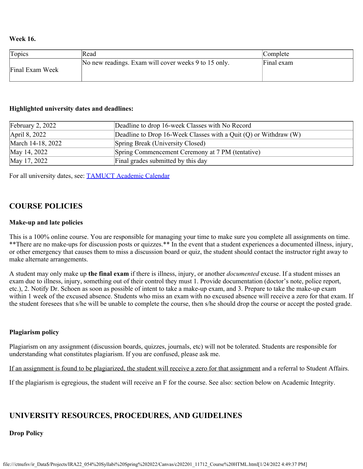### **Week 16.**

| Topics          | Read                                                 | Complete   |
|-----------------|------------------------------------------------------|------------|
| Final Exam Week | No new readings. Exam will cover weeks 9 to 15 only. | Final exam |

#### **Highlighted university dates and deadlines:**

| February $2, 2022$ | Deadline to drop 16-week Classes with No Record                      |  |
|--------------------|----------------------------------------------------------------------|--|
| April 8, 2022      | Deadline to Drop 16-Week Classes with a Quit $(Q)$ or Withdraw $(W)$ |  |
| March 14-18, 2022  | Spring Break (University Closed)                                     |  |
| May 14, 2022       | Spring Commencement Ceremony at 7 PM (tentative)                     |  |
| May 17, 2022       | Final grades submitted by this day                                   |  |

For all university dates, see: [TAMUCT Academic Calendar](https://www.tamuct.edu/registrar/academic-calendar.html)

## **COURSE POLICIES**

#### **Make-up and late policies**

This is a 100% online course. You are responsible for managing your time to make sure you complete all assignments on time. \*\*There are no make-ups for discussion posts or quizzes.\*\* In the event that a student experiences a documented illness, injury, or other emergency that causes them to miss a discussion board or quiz, the student should contact the instructor right away to make alternate arrangements.

A student may only make up **the final exam** if there is illness, injury, or another *documented* excuse. If a student misses an exam due to illness, injury, something out of their control they must 1. Provide documentation (doctor's note, police report, etc.), 2. Notify Dr. Schoen as soon as possible of intent to take a make-up exam, and 3. Prepare to take the make-up exam within 1 week of the excused absence. Students who miss an exam with no excused absence will receive a zero for that exam. If the student foresees that s/he will be unable to complete the course, then s/he should drop the course or accept the posted grade.

#### **Plagiarism policy**

Plagiarism on any assignment (discussion boards, quizzes, journals, etc) will not be tolerated. Students are responsible for understanding what constitutes plagiarism. If you are confused, please ask me.

If an assignment is found to be plagiarized, the student will receive a zero for that assignment and a referral to Student Affairs.

If the plagiarism is egregious, the student will receive an F for the course. See also: section below on Academic Integrity.

# **UNIVERSITY RESOURCES, PROCEDURES, AND GUIDELINES**

#### **Drop Policy**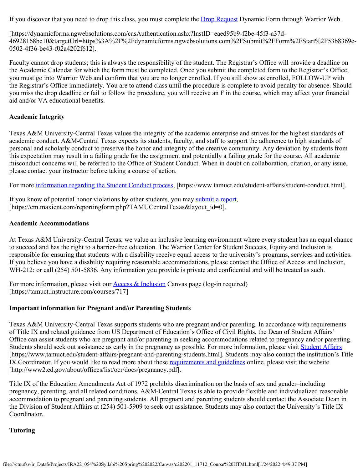If you discover that you need to drop this class, you must complete the **Drop Request** Dynamic Form through Warrior Web.

[https://dynamicforms.ngwebsolutions.com/casAuthentication.ashx?InstID=eaed95b9-f2be-45f3-a37d-46928168bc10&targetUrl=https%3A%2F%2Fdynamicforms.ngwebsolutions.com%2FSubmit%2FForm%2FStart%2F53b8369e-0502-4f36-be43-f02a4202f612].

Faculty cannot drop students; this is always the responsibility of the student. The Registrar's Office will provide a deadline on the Academic Calendar for which the form must be completed. Once you submit the completed form to the Registrar's Office, you must go into Warrior Web and confirm that you are no longer enrolled. If you still show as enrolled, FOLLOW-UP with the Registrar's Office immediately. You are to attend class until the procedure is complete to avoid penalty for absence. Should you miss the drop deadline or fail to follow the procedure, you will receive an F in the course, which may affect your financial aid and/or VA educational benefits.

### **Academic Integrity**

Texas A&M University-Central Texas values the integrity of the academic enterprise and strives for the highest standards of academic conduct. A&M-Central Texas expects its students, faculty, and staff to support the adherence to high standards of personal and scholarly conduct to preserve the honor and integrity of the creative community. Any deviation by students from this expectation may result in a failing grade for the assignment and potentially a failing grade for the course. All academic misconduct concerns will be referred to the Office of Student Conduct. When in doubt on collaboration, citation, or any issue, please contact your instructor before taking a course of action.

For more [information regarding the Student Conduct process](https://nam04.safelinks.protection.outlook.com/?url=https%3A%2F%2Fwww.tamuct.edu%2Fstudent-affairs%2Fstudent-conduct.html&data=04%7C01%7Clisa.bunkowski%40tamuct.edu%7Ccfb6e486f24745f53e1a08d910055cb2%7C9eed4e3000f744849ff193ad8005acec%7C0%7C0%7C637558437485252160%7CUnknown%7CTWFpbGZsb3d8eyJWIjoiMC4wLjAwMDAiLCJQIjoiV2luMzIiLCJBTiI6Ik1haWwiLCJXVCI6Mn0%3D%7C1000&sdata=yjftDEVHvLX%2FhM%2FcFU0B99krV1RgEWR%2BJ%2BhvtoR6TYk%3D&reserved=0), [https://www.tamuct.edu/student-affairs/student-conduct.html].

If you know of potential honor violations by other students, you may [submit a report](https://nam04.safelinks.protection.outlook.com/?url=https%3A%2F%2Fcm.maxient.com%2Freportingform.php%3FTAMUCentralTexas%26layout_id%3D0&data=04%7C01%7Clisa.bunkowski%40tamuct.edu%7Ccfb6e486f24745f53e1a08d910055cb2%7C9eed4e3000f744849ff193ad8005acec%7C0%7C0%7C637558437485262157%7CUnknown%7CTWFpbGZsb3d8eyJWIjoiMC4wLjAwMDAiLCJQIjoiV2luMzIiLCJBTiI6Ik1haWwiLCJXVCI6Mn0%3D%7C1000&sdata=CXGkOa6uPDPX1IMZ87z3aZDq2n91xfHKu4MMS43Ejjk%3D&reserved=0), [https://cm.maxient.com/reportingform.php?TAMUCentralTexas&layout\_id=0].

### **Academic Accommodations**

At Texas A&M University-Central Texas, we value an inclusive learning environment where every student has an equal chance to succeed and has the right to a barrier-free education. The Warrior Center for Student Success, Equity and Inclusion is responsible for ensuring that students with a disability receive equal access to the university's programs, services and activities. If you believe you have a disability requiring reasonable accommodations, please contact the Office of Access and Inclusion, WH-212; or call (254) 501-5836. Any information you provide is private and confidential and will be treated as such.

For more information, please visit our **Access & Inclusion** Canvas page (log-in required) [https://tamuct.instructure.com/courses/717]

#### **Important information for Pregnant and/or Parenting Students**

Texas A&M University-Central Texas supports students who are pregnant and/or parenting. In accordance with requirements of Title IX and related guidance from US Department of Education's Office of Civil Rights, the Dean of Student Affairs' Office can assist students who are pregnant and/or parenting in seeking accommodations related to pregnancy and/or parenting. Students should seek out assistance as early in the pregnancy as possible. For more information, please visit [Student Affairs](https://www.tamuct.edu/student-affairs/pregnant-and-parenting-students.html) [https://www.tamuct.edu/student-affairs/pregnant-and-parenting-students.html]. Students may also contact the institution's Title IX Coordinator. If you would like to read more about these [requirements and guidelines](http://www2.ed.gov/about/offices/list/ocr/docs/pregnancy.pdf) online, please visit the website [http://www2.ed.gov/about/offices/list/ocr/docs/pregnancy.pdf].

Title IX of the Education Amendments Act of 1972 prohibits discrimination on the basis of sex and gender–including pregnancy, parenting, and all related conditions. A&M-Central Texas is able to provide flexible and individualized reasonable accommodation to pregnant and parenting students. All pregnant and parenting students should contact the Associate Dean in the Division of Student Affairs at (254) 501-5909 to seek out assistance. Students may also contact the University's Title IX Coordinator.

#### **Tutoring**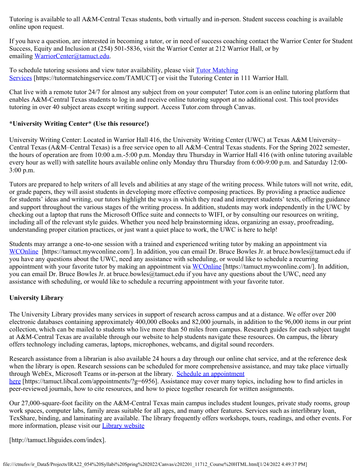Tutoring is available to all A&M-Central Texas students, both virtually and in-person. Student success coaching is available online upon request.

If you have a question, are interested in becoming a tutor, or in need of success coaching contact the Warrior Center for Student Success, Equity and Inclusion at (254) 501-5836, visit the Warrior Center at 212 Warrior Hall, or by emailing [WarriorCenter@tamuct.edu](mailto:WarriorCenter@tamuct.edu).

To schedule tutoring sessions and view tutor availability, please visit [Tutor Matching](https://tutormatchingservice.com/TAMUCT) [Services](https://tutormatchingservice.com/TAMUCT) [https://tutormatchingservice.com/TAMUCT] or visit the Tutoring Center in 111 Warrior Hall.

Chat live with a remote tutor 24/7 for almost any subject from on your computer! Tutor.com is an online tutoring platform that enables A&M-Central Texas students to log in and receive online tutoring support at no additional cost. This tool provides tutoring in over 40 subject areas except writing support. Access Tutor.com through Canvas.

### **\*University Writing Center\* (Use this resource!)**

University Writing Center: Located in Warrior Hall 416, the University Writing Center (UWC) at Texas A&M University– Central Texas (A&M–Central Texas) is a free service open to all A&M–Central Texas students. For the Spring 2022 semester, the hours of operation are from 10:00 a.m.-5:00 p.m. Monday thru Thursday in Warrior Hall 416 (with online tutoring available every hour as well) with satellite hours available online only Monday thru Thursday from 6:00-9:00 p.m. and Saturday 12:00- 3:00 p.m.

Tutors are prepared to help writers of all levels and abilities at any stage of the writing process. While tutors will not write, edit, or grade papers, they will assist students in developing more effective composing practices. By providing a practice audience for students' ideas and writing, our tutors highlight the ways in which they read and interpret students' texts, offering guidance and support throughout the various stages of the writing process. In addition, students may work independently in the UWC by checking out a laptop that runs the Microsoft Office suite and connects to WIFI, or by consulting our resources on writing, including all of the relevant style guides. Whether you need help brainstorming ideas, organizing an essay, proofreading, understanding proper citation practices, or just want a quiet place to work, the UWC is here to help!

Students may arrange a one-to-one session with a trained and experienced writing tutor by making an appointment via [WCOnline](https://tamuct.mywconline.com/) [https://tamuct.mywconline.com/]. In addition, you can email Dr. Bruce Bowles Jr. at bruce.bowles@tamuct.edu if you have any questions about the UWC, need any assistance with scheduling, or would like to schedule a recurring appointment with your favorite tutor by making an appointment via [WCOnline](https://tamuct.mywconline.com/) [https://tamuct.mywconline.com/]. In addition, you can email Dr. Bruce Bowles Jr. at bruce.bowles@tamuct.edu if you have any questions about the UWC, need any assistance with scheduling, or would like to schedule a recurring appointment with your favorite tutor.

### **University Library**

The University Library provides many services in support of research across campus and at a distance. We offer over 200 electronic databases containing approximately 400,000 eBooks and 82,000 journals, in addition to the 96,000 items in our print collection, which can be mailed to students who live more than 50 miles from campus. Research guides for each subject taught at A&M-Central Texas are available through our website to help students navigate these resources. On campus, the library offers technology including cameras, laptops, microphones, webcams, and digital sound recorders.

Research assistance from a librarian is also available 24 hours a day through our online chat service, and at the reference desk when the library is open. Research sessions can be scheduled for more comprehensive assistance, and may take place virtually through WebEx, Microsoft Teams or in-person at the library. [Schedule an appointment](https://nam04.safelinks.protection.outlook.com/?url=https%3A%2F%2Ftamuct.libcal.com%2Fappointments%2F%3Fg%3D6956&data=04%7C01%7Clisa.bunkowski%40tamuct.edu%7Cde2c07d9f5804f09518008d9ab7ba6ff%7C9eed4e3000f744849ff193ad8005acec%7C0%7C0%7C637729369835011558%7CUnknown%7CTWFpbGZsb3d8eyJWIjoiMC4wLjAwMDAiLCJQIjoiV2luMzIiLCJBTiI6Ik1haWwiLCJXVCI6Mn0%3D%7C3000&sdata=KhtjgRSAw9aq%2FoBsB6wyu8b7PSuGN5EGPypzr3Ty2No%3D&reserved=0) [here](https://nam04.safelinks.protection.outlook.com/?url=https%3A%2F%2Ftamuct.libcal.com%2Fappointments%2F%3Fg%3D6956&data=04%7C01%7Clisa.bunkowski%40tamuct.edu%7Cde2c07d9f5804f09518008d9ab7ba6ff%7C9eed4e3000f744849ff193ad8005acec%7C0%7C0%7C637729369835011558%7CUnknown%7CTWFpbGZsb3d8eyJWIjoiMC4wLjAwMDAiLCJQIjoiV2luMzIiLCJBTiI6Ik1haWwiLCJXVCI6Mn0%3D%7C3000&sdata=KhtjgRSAw9aq%2FoBsB6wyu8b7PSuGN5EGPypzr3Ty2No%3D&reserved=0) [https://tamuct.libcal.com/appointments/?g=6956]. Assistance may cover many topics, including how to find articles in peer-reviewed journals, how to cite resources, and how to piece together research for written assignments.

Our 27,000-square-foot facility on the A&M-Central Texas main campus includes student lounges, private study rooms, group work spaces, computer labs, family areas suitable for all ages, and many other features. Services such as interlibrary loan, TexShare, binding, and laminating are available. The library frequently offers workshops, tours, readings, and other events. For more information, please visit our **[Library website](https://nam04.safelinks.protection.outlook.com/?url=https%3A%2F%2Ftamuct.libguides.com%2Findex&data=04%7C01%7Clisa.bunkowski%40tamuct.edu%7C7d8489e8839a4915335f08d916f067f2%7C9eed4e3000f744849ff193ad8005acec%7C0%7C0%7C637566044056484222%7CUnknown%7CTWFpbGZsb3d8eyJWIjoiMC4wLjAwMDAiLCJQIjoiV2luMzIiLCJBTiI6Ik1haWwiLCJXVCI6Mn0%3D%7C1000&sdata=2R755V6rcIyedGrd4Os5rkgn1PvhHKU3kUV1vBKiHFo%3D&reserved=0)** 

[http://tamuct.libguides.com/index].